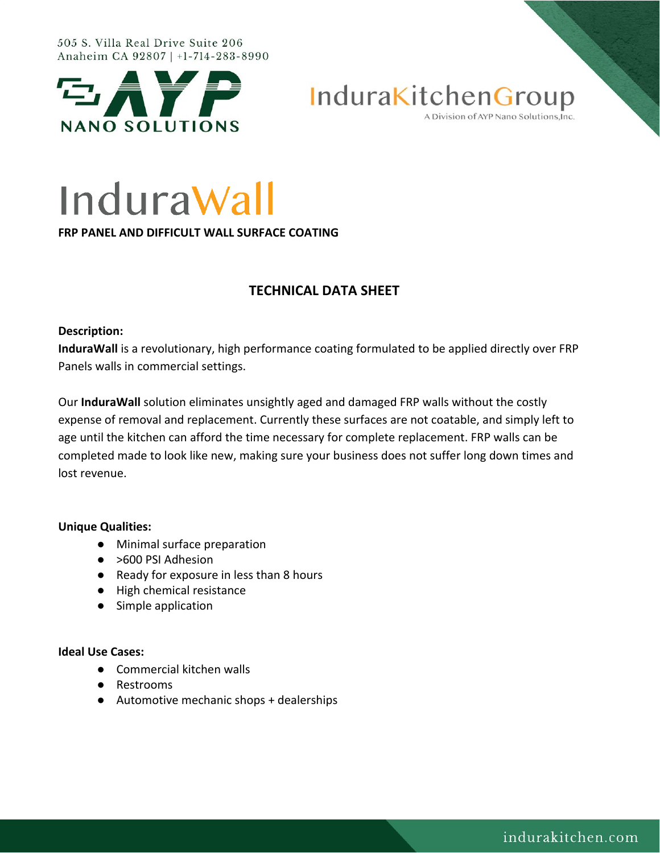#### 505 S. Villa Real Drive Suite 206 Anaheim CA 92807 | +1-714-283-8990



InduraKitchenGroup

A Division of AYP Nano Solutions, Inc.

# InduraWall

**FRP PANEL AND DIFFICULT WALL SURFACE COATING**

## **TECHNICAL DATA SHEET**

## **Description:**

**InduraWall** is a revolutionary, high performance coating formulated to be applied directly over FRP Panels walls in commercial settings.

Our **InduraWall** solution eliminates unsightly aged and damaged FRP walls without the costly expense of removal and replacement. Currently these surfaces are not coatable, and simply left to age until the kitchen can afford the time necessary for complete replacement. FRP walls can be completed made to look like new, making sure your business does not suffer long down times and lost revenue.

## **Unique Qualities:**

- Minimal surface preparation
- >600 PSI Adhesion
- Ready for exposure in less than 8 hours
- High chemical resistance
- Simple application

## **Ideal Use Cases:**

- Commercial kitchen walls
- Restrooms
- Automotive mechanic shops + dealerships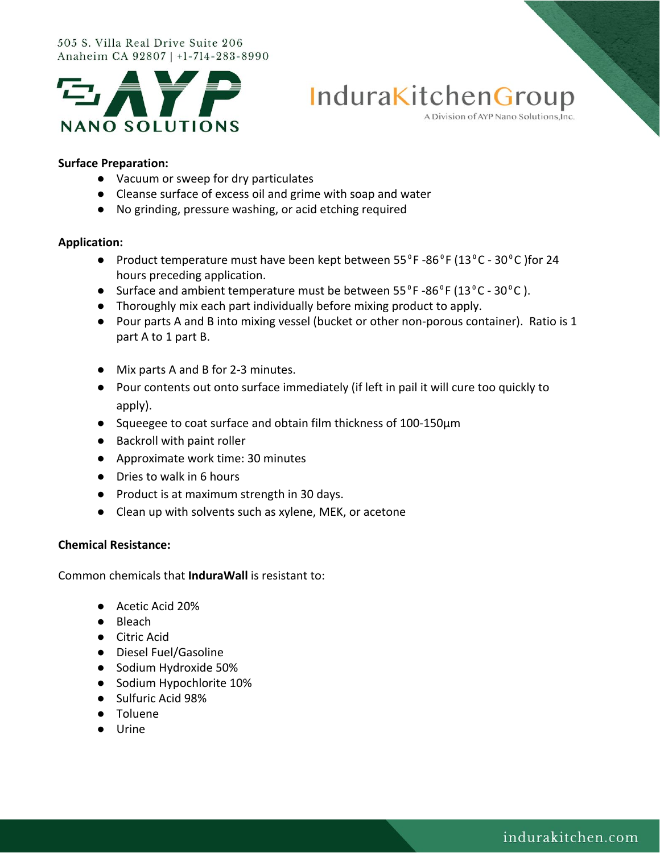#### 505 S. Villa Real Drive Suite 206 Anaheim CA 92807 | +1-714-283-8990





#### A Division of AYP Nano Solutions, Inc.

#### **Surface Preparation:**

- Vacuum or sweep for dry particulates
- Cleanse surface of excess oil and grime with soap and water
- No grinding, pressure washing, or acid etching required

#### **Application:**

- Product temperature must have been kept between 55<sup>°</sup>F-86<sup>°</sup>F (13<sup>°</sup>C 30<sup>°</sup>C) for 24 hours preceding application.
- Surface and ambient temperature must be between  $55^{\circ}$ F -86 $^{\circ}$ F (13 $^{\circ}$ C 30 $^{\circ}$ C).
- Thoroughly mix each part individually before mixing product to apply.
- Pour parts A and B into mixing vessel (bucket or other non-porous container). Ratio is 1 part A to 1 part B.
- Mix parts A and B for 2-3 minutes.
- Pour contents out onto surface immediately (if left in pail it will cure too quickly to apply).
- Squeegee to coat surface and obtain film thickness of 100-150µm
- Backroll with paint roller
- Approximate work time: 30 minutes
- Dries to walk in 6 hours
- Product is at maximum strength in 30 days.
- Clean up with solvents such as xylene, MEK, or acetone

### **Chemical Resistance:**

Common chemicals that **InduraWall** is resistant to:

- Acetic Acid 20%
- Bleach
- Citric Acid
- Diesel Fuel/Gasoline
- Sodium Hydroxide 50%
- Sodium Hypochlorite 10%
- Sulfuric Acid 98%
- Toluene
- Urine